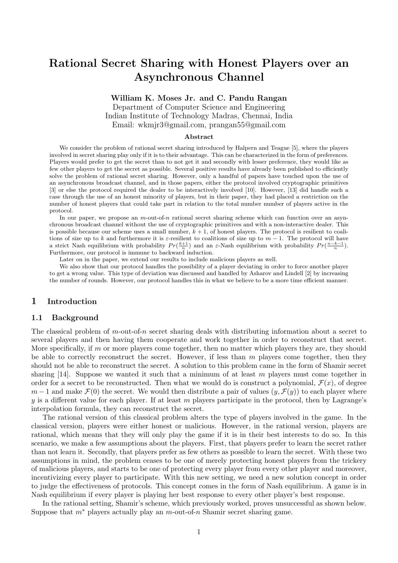# Rational Secret Sharing with Honest Players over an Asynchronous Channel

### William K. Moses Jr. and C. Pandu Rangan

Department of Computer Science and Engineering Indian Institute of Technology Madras, Chennai, India Email: wkmjr3@gmail.com, prangan55@gmail.com

#### Abstract

We consider the problem of rational secret sharing introduced by Halpern and Teague [5], where the players involved in secret sharing play only if it is to their advantage. This can be characterized in the form of preferences. Players would prefer to get the secret than to not get it and secondly with lesser preference, they would like as few other players to get the secret as possible. Several positive results have already been published to efficiently solve the problem of rational secret sharing. However, only a handful of papers have touched upon the use of an asynchronous broadcast channel, and in those papers, either the protocol involved cryptographic primitives [3] or else the protocol required the dealer to be interactively involved [10]. However, [13] did handle such a case through the use of an honest minority of players, but in their paper, they had placed a restriction on the number of honest players that could take part in relation to the total number number of players active in the protocol.

In our paper, we propose an  $m$ -out-of-n rational secret sharing scheme which can function over an asynchronous broadcast channel without the use of cryptographic primitives and with a non-interactive dealer. This is possible because our scheme uses a small number,  $k + 1$ , of honest players. The protocol is resilient to coalitions of size up to k and furthermore it is  $\varepsilon$ -resilient to coalitions of size up to  $m-1$ . The protocol will have a strict Nash equilibrium with probability  $Pr(\frac{k+1}{n})$  and an  $\varepsilon$ -Nash equilibrium with probability  $Pr(\frac{n-k-1}{n})$ . Furthermore, our protocol is immune to backward induction.

Later on in the paper, we extend our results to include malicious players as well.

We also show that our protocol handles the possibility of a player deviating in order to force another player to get a wrong value. This type of deviation was discussed and handled by Asharov and Lindell [2] by increasing the number of rounds. However, our protocol handles this in what we believe to be a more time efficient manner.

### 1 Introduction

#### 1.1 Background

The classical problem of m-out-of-n secret sharing deals with distributing information about a secret to several players and then having them cooperate and work together in order to reconstruct that secret. More specifically, if  $m$  or more players come together, then no matter which players they are, they should be able to correctly reconstruct the secret. However, if less than  $m$  players come together, then they should not be able to reconstruct the secret. A solution to this problem came in the form of Shamir secret sharing [14]. Suppose we wanted it such that a minimum of at least  $m$  players must come together in order for a secret to be reconstructed. Then what we would do is construct a polynomial,  $\mathcal{F}(x)$ , of degree  $m-1$  and make  $\mathcal{F}(0)$  the secret. We would then distribute a pair of values  $(y,\mathcal{F}(y))$  to each player where y is a different value for each player. If at least m players participate in the protocol, then by Lagrange's interpolation formula, they can reconstruct the secret.

The rational version of this classical problem alters the type of players involved in the game. In the classical version, players were either honest or malicious. However, in the rational version, players are rational, which means that they will only play the game if it is in their best interests to do so. In this scenario, we make a few assumptions about the players. First, that players prefer to learn the secret rather than not learn it. Secondly, that players prefer as few others as possible to learn the secret. With these two assumptions in mind, the problem ceases to be one of merely protecting honest players from the trickery of malicious players, and starts to be one of protecting every player from every other player and moreover, incentivizing every player to participate. With this new setting, we need a new solution concept in order to judge the effectiveness of protocols. This concept comes in the form of Nash equilibrium. A game is in Nash equilibrium if every player is playing her best response to every other player's best response.

In the rational setting, Shamir's scheme, which previously worked, proves unsuccessful as shown below. Suppose that  $m^*$  players actually play an  $m$ -out-of-n Shamir secret sharing game.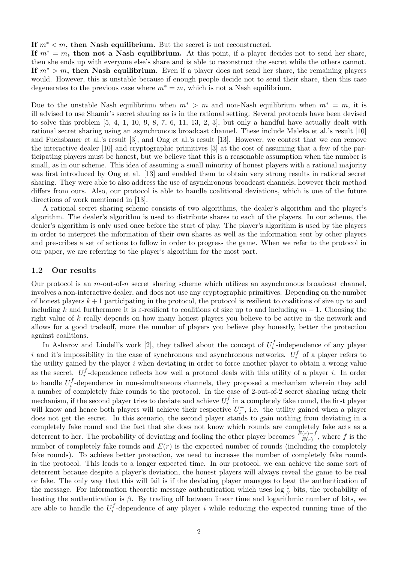#### If  $m^* < m$ , then Nash equilibrium. But the secret is not reconstructed.

If  $m^* = m$ , then not a Nash equilibrium. At this point, if a player decides not to send her share, then she ends up with everyone else's share and is able to reconstruct the secret while the others cannot. If  $m^* > m$ , then Nash equilibrium. Even if a player does not send her share, the remaining players would. However, this is unstable because if enough people decide not to send their share, then this case degenerates to the previous case where  $m^* = m$ , which is not a Nash equilibrium.

Due to the unstable Nash equilibrium when  $m^* > m$  and non-Nash equilibrium when  $m^* = m$ , it is ill advised to use Shamir's secret sharing as is in the rational setting. Several protocols have been devised to solve this problem  $[5, 4, 1, 10, 9, 8, 7, 6, 11, 13, 2, 3]$ , but only a handful have actually dealt with rational secret sharing using an asynchronous broadcast channel. These include Maleka et al.'s result [10] and Fuchsbauer et al.'s result [3], and Ong et al.'s result [13]. However, we contest that we can remove the interactive dealer [10] and cryptographic primitives [3] at the cost of assuming that a few of the participating players must be honest, but we believe that this is a reasonable assumption when the number is small, as in our scheme. This idea of assuming a small minority of honest players with a rational majority was first introduced by Ong et al. [13] and enabled them to obtain very strong results in rational secret sharing. They were able to also address the use of asynchronous broadcast channels, however their method differs from ours. Also, our protocol is able to handle coalitional deviations, which is one of the future directions of work mentioned in [13].

A rational secret sharing scheme consists of two algorithms, the dealer's algorithm and the player's algorithm. The dealer's algorithm is used to distribute shares to each of the players. In our scheme, the dealer's algorithm is only used once before the start of play. The player's algorithm is used by the players in order to interpret the information of their own shares as well as the information sent by other players and prescribes a set of actions to follow in order to progress the game. When we refer to the protocol in our paper, we are referring to the player's algorithm for the most part.

#### 1.2 Our results

Our protocol is an  $m$ -out-of-n secret sharing scheme which utilizes an asynchronous broadcast channel, involves a non-interactive dealer, and does not use any cryptographic primitives. Depending on the number of honest players  $k+1$  participating in the protocol, the protocol is resilient to coalitions of size up to and including k and furthermore it is  $\varepsilon$ -resilient to coalitions of size up to and including  $m-1$ . Choosing the right value of k really depends on how many honest players you believe to be active in the network and allows for a good tradeoff, more the number of players you believe play honestly, better the protection against coalitions.

In Asharov and Lindell's work [2], they talked about the concept of  $U_i^f$  $i<sub>i</sub>$ -independence of any player i and it's impossibility in the case of synchronous and asynchronous networks.  $U_i^f$  $\int_i^J$  of a player refers to the utility gained by the player i when deviating in order to force another player to obtain a wrong value as the secret.  $U_i^f$  $i<sub>i</sub>$ -dependence reflects how well a protocol deals with this utility of a player i. In order to handle  $U_i^f$  $i<sub>i</sub>$ -dependence in non-simultaneous channels, they proposed a mechanism wherein they add a number of completely fake rounds to the protocol. In the case of 2-out-of-2 secret sharing using their mechanism, if the second player tries to deviate and achieve  $U_i^f$  $i_i^J$  in a completely fake round, the first player will know and hence both players will achieve their respective  $U_i^-$ , i.e. the utility gained when a player does not get the secret. In this scenario, the second player stands to gain nothing from deviating in a completely fake round and the fact that she does not know which rounds are completely fake acts as a deterrent to her. The probability of deviating and fooling the other player becomes  $\frac{E(r)-f}{E(r)}$ , where f is the number of completely fake rounds and  $E(r)$  is the expected number of rounds (including the completely fake rounds). To achieve better protection, we need to increase the number of completely fake rounds in the protocol. This leads to a longer expected time. In our protocol, we can achieve the same sort of deterrent because despite a player's deviation, the honest players will always reveal the game to be real or fake. The only way that this will fail is if the deviating player manages to beat the authentication of the message. For information theoretic message authentication which uses  $\log \frac{1}{\beta}$  bits, the probability of beating the authentication is  $\beta$ . By trading off between linear time and logarithmic number of bits, we are able to handle the  $U_i^f$  $i<sub>i</sub>$ -dependence of any player i while reducing the expected running time of the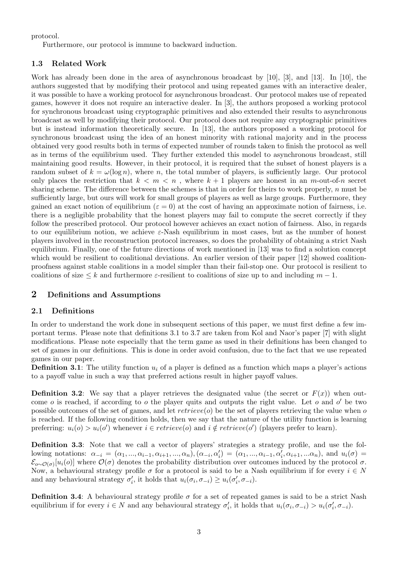protocol.

Furthermore, our protocol is immune to backward induction.

### 1.3 Related Work

Work has already been done in the area of asynchronous broadcast by [10], [3], and [13]. In [10], the authors suggested that by modifying their protocol and using repeated games with an interactive dealer, it was possible to have a working protocol for asynchronous broadcast. Our protocol makes use of repeated games, however it does not require an interactive dealer. In [3], the authors proposed a working protocol for synchronous broadcast using cryptographic primitives and also extended their results to asynchronous broadcast as well by modifying their protocol. Our protocol does not require any cryptographic primitives but is instead information theoretically secure. In [13], the authors proposed a working protocol for synchronous broadcast using the idea of an honest minority with rational majority and in the process obtained very good results both in terms of expected number of rounds taken to finish the protocol as well as in terms of the equilibrium used. They further extended this model to asynchronous broadcast, still maintaining good results. However, in their protocol, it is required that the subset of honest players is a random subset of  $k = \omega(\log n)$ , where n, the total number of players, is sufficiently large. Our protocol only places the restriction that  $k < m < n$ , where  $k + 1$  players are honest in an m-out-of-n secret sharing scheme. The difference between the schemes is that in order for theirs to work properly, n must be sufficiently large, but ours will work for small groups of players as well as large groups. Furthermore, they gained an exact notion of equilibrium ( $\varepsilon = 0$ ) at the cost of having an approximate notion of fairness, i.e. there is a negligible probability that the honest players may fail to compute the secret correctly if they follow the prescribed protocol. Our protocol however achieves an exact notion of fairness. Also, in regards to our equilibrium notion, we achieve  $\varepsilon$ -Nash equilibrium in most cases, but as the number of honest players involved in the reconstruction protocol increases, so does the probability of obtaining a strict Nash equilibrium. Finally, one of the future directions of work mentioned in [13] was to find a solution concept which would be resilient to coalitional deviations. An earlier version of their paper [12] showed coalitionproofness against stable coalitions in a model simpler than their fail-stop one. Our protocol is resilient to coalitions of size  $\leq k$  and furthermore  $\varepsilon$ -resilient to coalitions of size up to and including  $m-1$ .

### 2 Definitions and Assumptions

### 2.1 Definitions

In order to understand the work done in subsequent sections of this paper, we must first define a few important terms. Please note that definitions 3.1 to 3.7 are taken from Kol and Naor's paper [7] with slight modifications. Please note especially that the term game as used in their definitions has been changed to set of games in our definitions. This is done in order avoid confusion, due to the fact that we use repeated games in our paper.

**Definition 3.1**: The utility function  $u_i$  of a player is defined as a function which maps a player's actions to a payoff value in such a way that preferred actions result in higher payoff values.

**Definition 3.2:** We say that a player retrieves the designated value (the secret or  $F(x)$ ) when outcome  $o$  is reached, if according to  $o$  the player quits and outputs the right value. Let  $o$  and  $o'$  be two possible outcomes of the set of games, and let  $retrieve(o)$  be the set of players retrieving the value when o is reached. If the following condition holds, then we say that the nature of the utility function is learning preferring:  $u_i(o) > u_i(o')$  whenever  $i \in retrieve(o)$  and  $i \notin retrieve(o')$  (players prefer to learn).

Definition 3.3: Note that we call a vector of players' strategies a strategy profile, and use the following notations:  $\alpha_{-i} = (\alpha_1, ..., \alpha_{i-1}, \alpha_{i+1}, ..., \alpha_n), (\alpha_{-i}, \alpha_i') = (\alpha_1, ..., \alpha_{i-1}, \alpha_i', \alpha_{i+1}, ..., \alpha_n)$ , and  $u_i(\sigma) =$  $\mathcal{E}_{o\sim\mathcal{O}(\sigma)}[u_i(o)]$  where  $\mathcal{O}(\sigma)$  denotes the probability distribution over outcomes induced by the protocol  $\sigma$ . Now, a behavioural strategy profile  $\sigma$  for a protocol is said to be a Nash equilibrium if for every  $i \in N$ and any behavioural strategy  $\sigma'_i$ , it holds that  $u_i(\sigma_i, \sigma_{-i}) \geq u_i(\sigma'_i, \sigma_{-i})$ .

**Definition 3.4**: A behavioural strategy profile  $\sigma$  for a set of repeated games is said to be a strict Nash equilibrium if for every  $i \in N$  and any behavioural strategy  $\sigma'_i$ , it holds that  $u_i(\sigma_i, \sigma_{-i}) > u_i(\sigma'_i, \sigma_{-i})$ .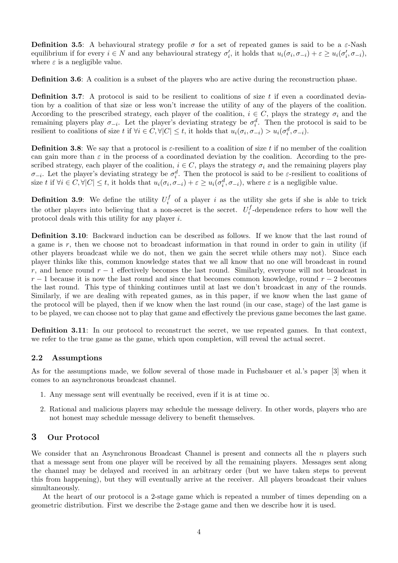**Definition 3.5:** A behavioural strategy profile  $\sigma$  for a set of repeated games is said to be a  $\varepsilon$ -Nash equilibrium if for every  $i \in N$  and any behavioural strategy  $\sigma'_i$ , it holds that  $u_i(\sigma_i, \sigma_{-i}) + \varepsilon \geq u_i(\sigma'_i, \sigma_{-i})$ , where  $\varepsilon$  is a negligible value.

Definition 3.6: A coalition is a subset of the players who are active during the reconstruction phase.

**Definition 3.7:** A protocol is said to be resilient to coalitions of size  $t$  if even a coordinated deviation by a coalition of that size or less won't increase the utility of any of the players of the coalition. According to the prescribed strategy, each player of the coalition,  $i \in C$ , plays the strategy  $\sigma_i$  and the remaining players play  $\sigma_{-i}$ . Let the player's deviating strategy be  $\sigma_i^d$ . Then the protocol is said to be resilient to coalitions of size t if  $\forall i \in C, \forall |C| \leq t$ , it holds that  $u_i(\sigma_i, \sigma_{-i}) > u_i(\sigma_i^d, \sigma_{-i})$ .

**Definition 3.8:** We say that a protocol is  $\varepsilon$ -resilient to a coalition of size t if no member of the coalition can gain more than  $\varepsilon$  in the process of a coordinated deviation by the coalition. According to the prescribed strategy, each player of the coalition,  $i \in C$ , plays the strategy  $\sigma_i$  and the remaining players play  $\sigma_{-i}$ . Let the player's deviating strategy be  $\sigma_i^d$ . Then the protocol is said to be  $\varepsilon$ -resilient to coalitions of size t if  $\forall i \in C, \forall |C| \leq t$ , it holds that  $u_i(\sigma_i, \sigma_{-i}) + \varepsilon \geq u_i(\sigma_i^d, \sigma_{-i})$ , where  $\varepsilon$  is a negligible value.

**Definition 3.9:** We define the utility  $U_i^f$  $i_i$  of a player i as the utility she gets if she is able to trick the other players into believing that a non-secret is the secret.  $U_i^f$  $i<sub>i</sub>$ -dependence refers to how well the protocol deals with this utility for any player i.

Definition 3.10: Backward induction can be described as follows. If we know that the last round of a game is  $r$ , then we choose not to broadcast information in that round in order to gain in utility (if other players broadcast while we do not, then we gain the secret while others may not). Since each player thinks like this, common knowledge states that we all know that no one will broadcast in round r, and hence round  $r - 1$  effectively becomes the last round. Similarly, everyone will not broadcast in  $r-1$  because it is now the last round and since that becomes common knowledge, round  $r-2$  becomes the last round. This type of thinking continues until at last we don't broadcast in any of the rounds. Similarly, if we are dealing with repeated games, as in this paper, if we know when the last game of the protocol will be played, then if we know when the last round (in our case, stage) of the last game is to be played, we can choose not to play that game and effectively the previous game becomes the last game.

Definition 3.11: In our protocol to reconstruct the secret, we use repeated games. In that context, we refer to the true game as the game, which upon completion, will reveal the actual secret.

#### 2.2 Assumptions

As for the assumptions made, we follow several of those made in Fuchsbauer et al.'s paper [3] when it comes to an asynchronous broadcast channel.

- 1. Any message sent will eventually be received, even if it is at time  $\infty$ .
- 2. Rational and malicious players may schedule the message delivery. In other words, players who are not honest may schedule message delivery to benefit themselves.

### 3 Our Protocol

We consider that an Asynchronous Broadcast Channel is present and connects all the  $n$  players such that a message sent from one player will be received by all the remaining players. Messages sent along the channel may be delayed and received in an arbitrary order (but we have taken steps to prevent this from happening), but they will eventually arrive at the receiver. All players broadcast their values simultaneously.

At the heart of our protocol is a 2-stage game which is repeated a number of times depending on a geometric distribution. First we describe the 2-stage game and then we describe how it is used.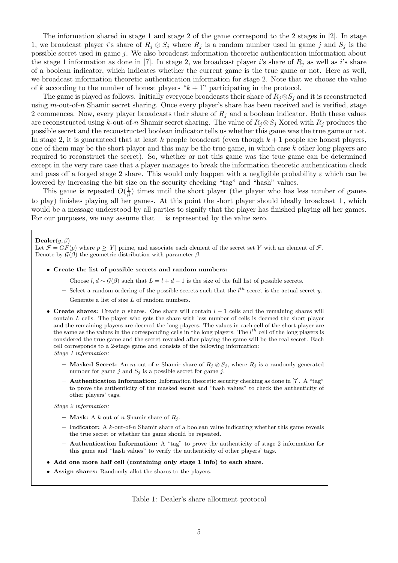The information shared in stage 1 and stage 2 of the game correspond to the 2 stages in [2]. In stage 1, we broadcast player i's share of  $R_j \otimes S_j$  where  $R_j$  is a random number used in game j and  $S_j$  is the possible secret used in game j. We also broadcast information theoretic authentication information about the stage 1 information as done in [7]. In stage 2, we broadcast player i's share of  $R_i$  as well as i's share of a boolean indicator, which indicates whether the current game is the true game or not. Here as well, we broadcast information theoretic authentication information for stage 2. Note that we choose the value of k according to the number of honest players " $k + 1$ " participating in the protocol.

The game is played as follows. Initially everyone broadcasts their share of  $R_i \otimes S_j$  and it is reconstructed using  $m$ -out-of-n Shamir secret sharing. Once every player's share has been received and is verified, stage 2 commences. Now, every player broadcasts their share of  $R_i$  and a boolean indicator. Both these values are reconstructed using k-out-of-n Shamir secret sharing. The value of  $R_i \otimes S_i$  Xored with  $R_i$  produces the possible secret and the reconstructed boolean indicator tells us whether this game was the true game or not. In stage 2, it is guaranteed that at least k people broadcast (even though  $k+1$  people are honest players, one of them may be the short player and this may be the true game, in which case  $k$  other long players are required to reconstruct the secret). So, whether or not this game was the true game can be determined except in the very rare case that a player manages to break the information theoretic authentication check and pass off a forged stage 2 share. This would only happen with a negligible probability  $\varepsilon$  which can be lowered by increasing the bit size on the security checking "tag" and "hash" values.

This game is repeated  $O(\frac{1}{4})$  $\frac{1}{\beta}$ ) times until the short player (the player who has less number of games to play) finishes playing all her games. At this point the short player should ideally broadcast ⊥, which would be a message understood by all parties to signify that the player has finished playing all her games. For our purposes, we may assume that  $\perp$  is represented by the value zero.

#### $\mathbf{Dealer}(y, \beta)$

Let  $\mathcal{F} = GF(p)$  where  $p \geq |Y|$  prime, and associate each element of the secret set Y with an element of  $\mathcal{F}$ . Denote by  $\mathcal{G}(\beta)$  the geometric distribution with parameter  $\beta$ .

- Create the list of possible secrets and random numbers:
	- Choose  $l, d ∼ \mathcal{G}(\beta)$  such that  $L = l + d 1$  is the size of the full list of possible secrets.
	- Select a random ordering of the possible secrets such that the  $l^{th}$  secret is the actual secret y.
	- $-$  Generate a list of size  $L$  of random numbers.
- Create shares: Create n shares. One share will contain  $l-1$  cells and the remaining shares will contain L cells. The player who gets the share with less number of cells is deemed the short player and the remaining players are deemed the long players. The values in each cell of the short player are the same as the values in the corresponding cells in the long players. The  $l^{th}$  cell of the long players is considered the true game and the secret revealed after playing the game will be the real secret. Each cell corresponds to a 2-stage game and consists of the following information: Stage 1 information:
	- Masked Secret: An m-out-of-n Shamir share of  $R_j \otimes S_j$ , where  $R_j$  is a randomly generated number for game j and  $S_i$  is a possible secret for game j.
	- $-$  **Authentication Information:** Information theoretic security checking as done in [7]. A "tag" to prove the authenticity of the masked secret and "hash values" to check the authenticity of other players' tags.

Stage 2 information:

- **Mask:** A k-out-of-n Shamir share of  $R_i$ .
- Indicator: A k-out-of-n Shamir share of a boolean value indicating whether this game reveals the true secret or whether the game should be repeated.
- Authentication Information: A "tag" to prove the authenticity of stage 2 information for this game and "hash values" to verify the authenticity of other players' tags.
- Add one more half cell (containing only stage 1 info) to each share.
- Assign shares: Randomly allot the shares to the players.

#### Table 1: Dealer's share allotment protocol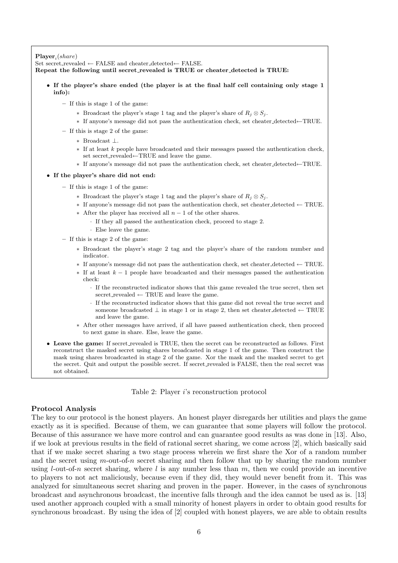### $\textbf{Player}_i(share)$

Set secret\_revealed ← FALSE and cheater\_detected← FALSE. Repeat the following until secret revealed is TRUE or cheater detected is TRUE:

- If the player's share ended (the player is at the final half cell containing only stage 1 info):
	- If this is stage 1 of the game:
		- ∗ Broadcast the player's stage 1 tag and the player's share of  $R_j \otimes S_j$ .
		- ∗ If anyone's message did not pass the authentication check, set cheater detected←TRUE.
	- If this is stage 2 of the game:
		- ∗ Broadcast ⊥.
		- ∗ If at least k people have broadcasted and their messages passed the authentication check, set secret\_revealed←TRUE and leave the game.
		- ∗ If anyone's message did not pass the authentication check, set cheater detected←TRUE.
- If the player's share did not end:
	- If this is stage 1 of the game:
		- ∗ Broadcast the player's stage 1 tag and the player's share of R<sup>j</sup> ⊗ S<sup>j</sup> .
		- ∗ If anyone's message did not pass the authentication check, set cheater detected ← TRUE.
		- ∗ After the player has received all n − 1 of the other shares.
			- · If they all passed the authentication check, proceed to stage 2.
			- · Else leave the game.
	- If this is stage 2 of the game:
		- ∗ Broadcast the player's stage 2 tag and the player's share of the random number and indicator.
		- ∗ If anyone's message did not pass the authentication check, set cheater detected ← TRUE.
		- $*$  If at least  $k-1$  people have broadcasted and their messages passed the authentication check:
			- · If the reconstructed indicator shows that this game revealed the true secret, then set secret\_revealed  $\leftarrow$  TRUE and leave the game.
			- · If the reconstructed indicator shows that this game did not reveal the true secret and someone broadcasted  $\perp$  in stage 1 or in stage 2, then set cheater\_detected  $\leftarrow$  TRUE and leave the game.
		- ∗ After other messages have arrived, if all have passed authentication check, then proceed to next game in share. Else, leave the game.
- Leave the game: If secret revealed is TRUE, then the secret can be reconstructed as follows. First reconstruct the masked secret using shares broadcasted in stage 1 of the game. Then construct the mask using shares broadcasted in stage 2 of the game. Xor the mask and the masked secret to get the secret. Quit and output the possible secret. If secret revealed is FALSE, then the real secret was not obtained.

Table 2: Player i's reconstruction protocol

#### Protocol Analysis

The key to our protocol is the honest players. An honest player disregards her utilities and plays the game exactly as it is specified. Because of them, we can guarantee that some players will follow the protocol. Because of this assurance we have more control and can guarantee good results as was done in [13]. Also, if we look at previous results in the field of rational secret sharing, we come across [2], which basically said that if we make secret sharing a two stage process wherein we first share the Xor of a random number and the secret using  $m$ -out-of-n secret sharing and then follow that up by sharing the random number using *l*-out-of-n secret sharing, where *l* is any number less than m, then we could provide an incentive to players to not act maliciously, because even if they did, they would never benefit from it. This was analyzed for simultaneous secret sharing and proven in the paper. However, in the cases of synchronous broadcast and asynchronous broadcast, the incentive falls through and the idea cannot be used as is. [13] used another approach coupled with a small minority of honest players in order to obtain good results for synchronous broadcast. By using the idea of [2] coupled with honest players, we are able to obtain results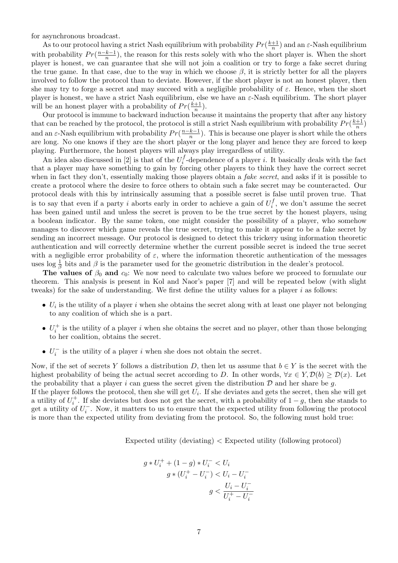for asynchronous broadcast.

As to our protocol having a strict Nash equilibrium with probability  $Pr(\frac{k+1}{n})$  $\frac{+1}{n}$ ) and an  $\varepsilon$ -Nash equilibrium with probability  $Pr(\frac{n-k-1}{n})$  $\frac{k-1}{n}$ ), the reason for this rests solely with who the short player is. When the short player is honest, we can guarantee that she will not join a coalition or try to forge a fake secret during the true game. In that case, due to the way in which we choose  $\beta$ , it is strictly better for all the players involved to follow the protocol than to deviate. However, if the short player is not an honest player, then she may try to forge a secret and may succeed with a negligible probability of  $\varepsilon$ . Hence, when the short player is honest, we have a strict Nash equilibrium, else we have an  $\varepsilon$ -Nash equilibrium. The short player will be an honest player with a probability of  $Pr(\frac{k+1}{n})$  $\frac{+1}{n}$ ).

Our protocol is immune to backward induction because it maintains the property that after any history that can be reached by the protocol, the protocol is still a strict Nash equilibrium with probability  $Pr(\frac{k+1}{n})$  $\frac{+1}{n}$ and an  $\varepsilon$ -Nash equilibrium with probability  $Pr(\frac{n-k-1}{n})$  $\frac{k-1}{n}$ ). This is because one player is short while the others are long. No one knows if they are the short player or the long player and hence they are forced to keep playing. Furthermore, the honest players will always play irregardless of utility.

An idea also discussed in [2] is that of the  $U_i^f$  $i<sub>i</sub>$ -dependence of a player i. It basically deals with the fact that a player may have something to gain by forcing other players to think they have the correct secret when in fact they don't, essentially making those players obtain a *fake secret*, and asks if it is possible to create a protocol where the desire to force others to obtain such a fake secret may be counteracted. Our protocol deals with this by intrinsically assuming that a possible secret is false until proven true. That is to say that even if a party i aborts early in order to achieve a gain of  $U_i^f$  $i<sub>i</sub>$ , we don't assume the secret has been gained until and unless the secret is proven to be the true secret by the honest players, using a boolean indicator. By the same token, one might consider the possibility of a player, who somehow manages to discover which game reveals the true secret, trying to make it appear to be a fake secret by sending an incorrect message. Our protocol is designed to detect this trickery using information theoretic authentication and will correctly determine whether the current possible secret is indeed the true secret with a negligible error probability of  $\varepsilon$ , where the information theoretic authentication of the messages uses  $\log \frac{1}{\beta}$  bits and  $\beta$  is the parameter used for the geometric distribution in the dealer's protocol.

The values of  $\beta_0$  and  $c_0$ : We now need to calculate two values before we proceed to formulate our theorem. This analysis is present in Kol and Naor's paper [7] and will be repeated below (with slight tweaks) for the sake of understanding. We first define the utility values for a player i as follows:

- $U_i$  is the utility of a player i when she obtains the secret along with at least one player not belonging to any coalition of which she is a part.
- $U_i^+$  is the utility of a player i when she obtains the secret and no player, other than those belonging to her coalition, obtains the secret.
- $U_i^-$  is the utility of a player i when she does not obtain the secret.

Now, if the set of secrets Y follows a distribution D, then let us assume that  $b \in Y$  is the secret with the highest probability of being the actual secret according to D. In other words,  $\forall x \in Y, \mathcal{D}(b) \geq \mathcal{D}(x)$ . Let the probability that a player i can guess the secret given the distribution  $D$  and her share be g. If the player follows the protocol, then she will get  $U_i$ . If she deviates and gets the secret, then she will get

a utility of  $U_i^+$ . If she deviates but does not get the secret, with a probability of  $1-g$ , then she stands to get a utility of  $U_i^-$ . Now, it matters to us to ensure that the expected utility from following the protocol is more than the expected utility from deviating from the protocol. So, the following must hold true:

Expected utility (deviating) < Expected utility (following protocol)

$$
g * U_i^+ + (1 - g) * U_i^- < U_i
$$
  

$$
g * (U_i^+ - U_i^-) < U_i - U_i^-
$$
  

$$
g < \frac{U_i - U_i^-}{U_i^+ - U_i^-}
$$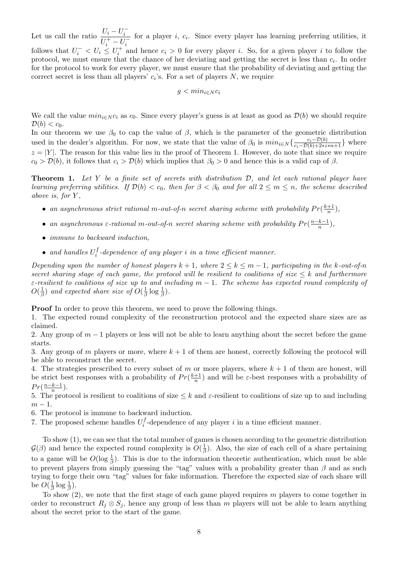Let us call the ratio  $\frac{U_i - U_i^-}{\frac{1}{l} + \frac{1}{l} + \frac{1}{l} + \cdots}$  $\overline{U_i^+ - U_i^-}$ for a player  $i, c_i$ . Since every player has learning preferring utilities, it follows that  $U_i^- < U_i \leq U_i^+$  and hence  $c_i > 0$  for every player i. So, for a given player i to follow the protocol, we must ensure that the chance of her deviating and getting the secret is less than  $c_i$ . In order for the protocol to work for every player, we must ensure that the probability of deviating and getting the correct secret is less than all players'  $c_i$ 's. For a set of players N, we require

$$
g < min_{i \in N} c_i
$$

We call the value  $min_{i \in N} c_i$  as  $c_0$ . Since every player's guess is at least as good as  $\mathcal{D}(b)$  we should require  $\mathcal{D}(b) < c_0$ .

In our theorem we use  $\beta_0$  to cap the value of  $\beta$ , which is the parameter of the geometric distribution used in the dealer's algorithm. For now, we state that the value of  $\beta_0$  is  $min_{i \in N} {\frac{c_i - \mathcal{D}(b)}{c_i - \mathcal{D}(b) + 2 * z * n + 1}}$  where  $z = |Y|$ . The reason for this value lies in the proof of Theorem 1. However, do note that since we require  $c_0 > \mathcal{D}(b)$ , it follows that  $c_i > \mathcal{D}(b)$  which implies that  $\beta_0 > 0$  and hence this is a valid cap of  $\beta$ .

**Theorem 1.** Let Y be a finite set of secrets with distribution  $D$ , and let each rational player have learning preferring utilities. If  $\mathcal{D}(b) < c_0$ , then for  $\beta < \beta_0$  and for all  $2 \leq m \leq n$ , the scheme described above is, for  $Y$ ,

- an asynchronous strict rational m-out-of-n secret sharing scheme with probability  $Pr(\frac{k+1}{n})$  $\frac{+1}{n}$ ),
- an asynchronous  $\varepsilon$ -rational m-out-of-n secret sharing scheme with probability  $Pr(\frac{n-k-1}{n})$  $\frac{k-1}{n}$ ),
- immune to backward induction,
- and handles  $U_i^f$  $\mathcal{F}_i^J$ -dependence of any player i in a time efficient manner.

Depending upon the number of honest players  $k + 1$ , where  $2 \le k \le m - 1$ , participating in the k-out-of-n secret sharing stage of each game, the protocol will be resilient to coalitions of size  $\leq k$  and furthermore  $\varepsilon$ -resilient to coalitions of size up to and including  $m-1$ . The scheme has expected round complexity of  $O(\frac{1}{2})$  $\frac{1}{\beta}$ ) and expected share size of  $O(\frac{1}{\beta})$  $\frac{1}{\beta} \log \frac{1}{\beta}$ ).

Proof In order to prove this theorem, we need to prove the following things.

1. The expected round complexity of the reconstruction protocol and the expected share sizes are as claimed.

2. Any group of  $m-1$  players or less will not be able to learn anything about the secret before the game starts.

3. Any group of m players or more, where  $k + 1$  of them are honest, correctly following the protocol will be able to reconstruct the secret.

4. The strategies prescribed to every subset of m or more players, where  $k + 1$  of them are honest, will be strict best responses with a probability of  $Pr(\frac{k+1}{n})$  $\frac{+1}{n}$ ) and will be  $\varepsilon$ -best responses with a probability of  $Pr(\frac{n-k-1}{n})$  $\frac{k-1}{n}$ ).

5. The protocol is resilient to coalitions of size  $\leq k$  and  $\varepsilon$ -resilient to coalitions of size up to and including  $m-1$ .

6. The protocol is immune to backward induction.

7. The proposed scheme handles  $U_i^f$  $i<sub>i</sub>$ -dependence of any player i in a time efficient manner.

To show (1), we can see that the total number of games is chosen according to the geometric distribution  $\mathcal{G}(\beta)$  and hence the expected round complexity is  $O(\frac{1}{\beta})$  $\frac{1}{\beta}$ ). Also, the size of each cell of a share pertaining to a game will be  $O(\log \frac{1}{\beta})$ . This is due to the information theoretic authentication, which must be able to prevent players from simply guessing the "tag" values with a probability greater than  $\beta$  and as such trying to forge their own "tag" values for fake information. Therefore the expected size of each share will be  $O(\frac{1}{\beta})$  $rac{1}{\beta} \log \frac{1}{\beta}$ .

To show  $(2)$ , we note that the first stage of each game played requires m players to come together in order to reconstruct  $R_i \otimes S_j$ , hence any group of less than m players will not be able to learn anything about the secret prior to the start of the game.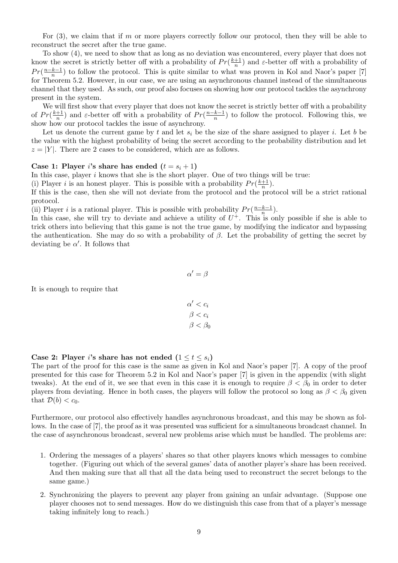For  $(3)$ , we claim that if m or more players correctly follow our protocol, then they will be able to reconstruct the secret after the true game.

To show (4), we need to show that as long as no deviation was encountered, every player that does not know the secret is strictly better off with a probability of  $Pr(\frac{k+1}{n})$  $\frac{+1}{n}$ ) and  $\varepsilon$ -better off with a probability of  $Pr(\frac{n-k-1}{n})$  $\frac{k-1}{n}$ ) to follow the protocol. This is quite similar to what was proven in Kol and Naor's paper [7] for Theorem 5.2. However, in our case, we are using an asynchronous channel instead of the simultaneous channel that they used. As such, our proof also focuses on showing how our protocol tackles the asynchrony present in the system.

We will first show that every player that does not know the secret is strictly better off with a probability of  $Pr(\frac{k+1}{n})$  $\frac{+1}{n}$ ) and  $\varepsilon$ -better off with a probability of  $Pr(\frac{n-k-1}{n})$  $\frac{k-1}{n}$ ) to follow the protocol. Following this, we show how our protocol tackles the issue of asynchrony.

Let us denote the current game by t and let  $s_i$  be the size of the share assigned to player i. Let b be the value with the highest probability of being the secret according to the probability distribution and let  $z = |Y|$ . There are 2 cases to be considered, which are as follows.

#### Case 1: Player *i*'s share has ended  $(t = s_i + 1)$

In this case, player  $i$  knows that she is the short player. One of two things will be true:

(i) Player *i* is an honest player. This is possible with a probability  $Pr(\frac{k+1}{n})$  $\frac{+1}{n}$ ).

If this is the case, then she will not deviate from the protocol and the protocol will be a strict rational protocol.

(ii) Player *i* is a rational player. This is possible with probability  $Pr(\frac{n-k-1}{n})$  $\frac{k-1}{n}$ ).

In this case, she will try to deviate and achieve a utility of  $U^+$ . This is only possible if she is able to trick others into believing that this game is not the true game, by modifying the indicator and bypassing the authentication. She may do so with a probability of  $\beta$ . Let the probability of getting the secret by deviating be  $\alpha'$ . It follows that

It is enough to require that

$$
\alpha' < c_i
$$
\n
$$
\beta < c_i
$$
\n
$$
\beta < \beta_0
$$

 $\alpha' = \beta$ 

#### Case 2: Player i's share has not ended  $(1 \le t \le s_i)$

The part of the proof for this case is the same as given in Kol and Naor's paper [7]. A copy of the proof presented for this case for Theorem 5.2 in Kol and Naor's paper [7] is given in the appendix (with slight tweaks). At the end of it, we see that even in this case it is enough to require  $\beta < \beta_0$  in order to deter players from deviating. Hence in both cases, the players will follow the protocol so long as  $\beta < \beta_0$  given that  $\mathcal{D}(b) < c_0$ .

Furthermore, our protocol also effectively handles asynchronous broadcast, and this may be shown as follows. In the case of [7], the proof as it was presented was sufficient for a simultaneous broadcast channel. In the case of asynchronous broadcast, several new problems arise which must be handled. The problems are:

- 1. Ordering the messages of a players' shares so that other players knows which messages to combine together. (Figuring out which of the several games' data of another player's share has been received. And then making sure that all that all the data being used to reconstruct the secret belongs to the same game.)
- 2. Synchronizing the players to prevent any player from gaining an unfair advantage. (Suppose one player chooses not to send messages. How do we distinguish this case from that of a player's message taking infinitely long to reach.)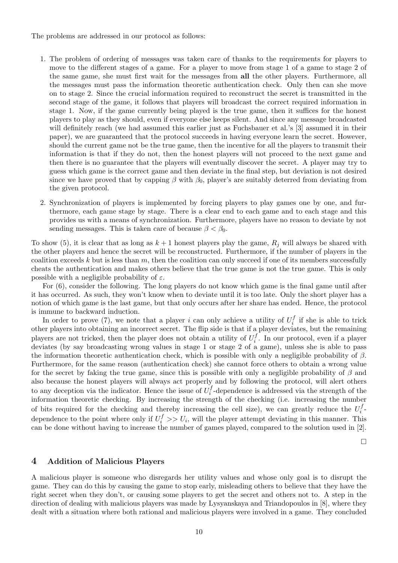The problems are addressed in our protocol as follows:

- 1. The problem of ordering of messages was taken care of thanks to the requirements for players to move to the different stages of a game. For a player to move from stage 1 of a game to stage 2 of the same game, she must first wait for the messages from all the other players. Furthermore, all the messages must pass the information theoretic authentication check. Only then can she move on to stage 2. Since the crucial information required to reconstruct the secret is transmitted in the second stage of the game, it follows that players will broadcast the correct required information in stage 1. Now, if the game currently being played is the true game, then it suffices for the honest players to play as they should, even if everyone else keeps silent. And since any message broadcasted will definitely reach (we had assumed this earlier just as Fuchsbauer et al.'s [3] assumed it in their paper), we are guaranteed that the protocol succeeds in having everyone learn the secret. However, should the current game not be the true game, then the incentive for all the players to transmit their information is that if they do not, then the honest players will not proceed to the next game and then there is no guarantee that the players will eventually discover the secret. A player may try to guess which game is the correct game and then deviate in the final step, but deviation is not desired since we have proved that by capping  $\beta$  with  $\beta_0$ , player's are suitably deterred from deviating from the given protocol.
- 2. Synchronization of players is implemented by forcing players to play games one by one, and furthermore, each game stage by stage. There is a clear end to each game and to each stage and this provides us with a means of synchronization. Furthermore, players have no reason to deviate by not sending messages. This is taken care of because  $\beta < \beta_0$ .

To show (5), it is clear that as long as  $k + 1$  honest players play the game,  $R_j$  will always be shared with the other players and hence the secret will be reconstructed. Furthermore, if the number of players in the coalition exceeds k but is less than  $m$ , then the coalition can only succeed if one of its members successfully cheats the authentication and makes others believe that the true game is not the true game. This is only possible with a negligible probability of  $\varepsilon$ .

For  $(6)$ , consider the following. The long players do not know which game is the final game until after it has occurred. As such, they won't know when to deviate until it is too late. Only the short player has a notion of which game is the last game, but that only occurs after her share has ended. Hence, the protocol is immune to backward induction.

In order to prove (7), we note that a player i can only achieve a utility of  $U_i^f$  $\iota_i^J$  if she is able to trick other players into obtaining an incorrect secret. The flip side is that if a player deviates, but the remaining players are not tricked, then the player does not obtain a utility of  $U_i^f$  $i<sup>J</sup>$ . In our protocol, even if a player deviates (by say broadcasting wrong values in stage 1 or stage 2 of a game), unless she is able to pass the information theoretic authentication check, which is possible with only a negligible probability of  $\beta$ . Furthermore, for the same reason (authentication check) she cannot force others to obtain a wrong value for the secret by faking the true game, since this is possible with only a negligible probability of  $\beta$  and also because the honest players will always act properly and by following the protocol, will alert others to any deception via the indicator. Hence the issue of  $U_i^f$  $i<sub>i</sub>$ -dependence is addressed via the strength of the information theoretic checking. By increasing the strength of the checking (i.e. increasing the number of bits required for the checking and thereby increasing the cell size), we can greatly reduce the  $U_i^f$  $\frac{J}{i}$  – dependence to the point where only if  $U_i^f \gg U_i$ , will the player attempt deviating in this manner. This can be done without having to increase the number of games played, compared to the solution used in [2].

 $\Box$ 

#### 4 Addition of Malicious Players

A malicious player is someone who disregards her utility values and whose only goal is to disrupt the game. They can do this by causing the game to stop early, misleading others to believe that they have the right secret when they don't, or causing some players to get the secret and others not to. A step in the direction of dealing with malicious players was made by Lysyanskaya and Triandopoulos in [8], where they dealt with a situation where both rational and malicious players were involved in a game. They concluded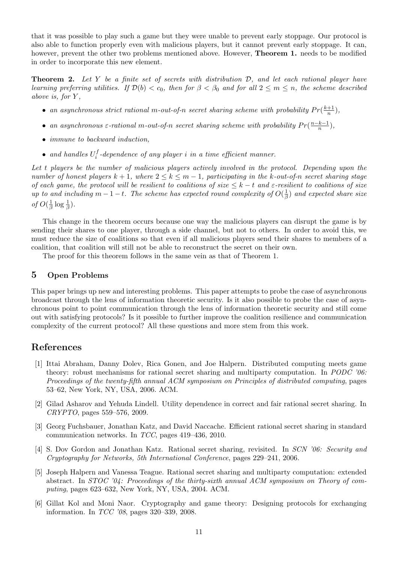that it was possible to play such a game but they were unable to prevent early stoppage. Our protocol is also able to function properly even with malicious players, but it cannot prevent early stoppage. It can, however, prevent the other two problems mentioned above. However, **Theorem 1.** needs to be modified in order to incorporate this new element.

**Theorem 2.** Let Y be a finite set of secrets with distribution  $D$ , and let each rational player have learning preferring utilities. If  $\mathcal{D}(b) < c_0$ , then for  $\beta < \beta_0$  and for all  $2 \le m \le n$ , the scheme described above is, for  $Y$ ,

- an asynchronous strict rational m-out-of-n secret sharing scheme with probability  $Pr(\frac{k+1}{n})$  $\frac{+1}{n}$ ),
- an asynchronous  $\varepsilon$ -rational m-out-of-n secret sharing scheme with probability  $Pr(\frac{n-k-1}{n})$  $\frac{k-1}{n}$ ),
- immune to backward induction,
- and handles  $U_i^f$  $\mathcal{F}_i^J$ -dependence of any player i in a time efficient manner.

Let t players be the number of malicious players actively involved in the protocol. Depending upon the number of honest players  $k + 1$ , where  $2 \leq k \leq m - 1$ , participating in the k-out-of-n secret sharing stage of each game, the protocol will be resilient to coalitions of size  $\leq k-t$  and  $\varepsilon$ -resilient to coalitions of size up to and including  $m-1-t$ . The scheme has expected round complexity of  $O(\frac{1}{6})$  $\frac{1}{\beta}$ ) and expected share size of  $O(\frac{1}{6})$  $\frac{1}{\beta} \log \frac{1}{\beta}$ ).

This change in the theorem occurs because one way the malicious players can disrupt the game is by sending their shares to one player, through a side channel, but not to others. In order to avoid this, we must reduce the size of coalitions so that even if all malicious players send their shares to members of a coalition, that coalition will still not be able to reconstruct the secret on their own.

The proof for this theorem follows in the same vein as that of Theorem 1.

### 5 Open Problems

This paper brings up new and interesting problems. This paper attempts to probe the case of asynchronous broadcast through the lens of information theoretic security. Is it also possible to probe the case of asynchronous point to point communication through the lens of information theoretic security and still come out with satisfying protocols? Is it possible to further improve the coalition resilience and communication complexity of the current protocol? All these questions and more stem from this work.

### References

- [1] Ittai Abraham, Danny Dolev, Rica Gonen, and Joe Halpern. Distributed computing meets game theory: robust mechanisms for rational secret sharing and multiparty computation. In PODC '06: Proceedings of the twenty-fifth annual ACM symposium on Principles of distributed computing, pages 53–62, New York, NY, USA, 2006. ACM.
- [2] Gilad Asharov and Yehuda Lindell. Utility dependence in correct and fair rational secret sharing. In CRYPTO, pages 559–576, 2009.
- [3] Georg Fuchsbauer, Jonathan Katz, and David Naccache. Efficient rational secret sharing in standard communication networks. In TCC, pages 419–436, 2010.
- [4] S. Dov Gordon and Jonathan Katz. Rational secret sharing, revisited. In SCN '06: Security and Cryptography for Networks, 5th International Conference, pages 229–241, 2006.
- [5] Joseph Halpern and Vanessa Teague. Rational secret sharing and multiparty computation: extended abstract. In STOC '04: Proceedings of the thirty-sixth annual ACM symposium on Theory of computing, pages 623–632, New York, NY, USA, 2004. ACM.
- [6] Gillat Kol and Moni Naor. Cryptography and game theory: Designing protocols for exchanging information. In TCC '08, pages 320–339, 2008.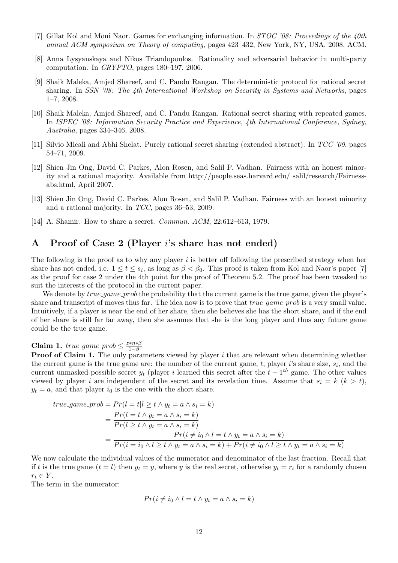- [7] Gillat Kol and Moni Naor. Games for exchanging information. In STOC '08: Proceedings of the 40th annual ACM symposium on Theory of computing, pages 423–432, New York, NY, USA, 2008. ACM.
- [8] Anna Lysyanskaya and Nikos Triandopoulos. Rationality and adversarial behavior in multi-party computation. In CRYPTO, pages 180–197, 2006.
- [9] Shaik Maleka, Amjed Shareef, and C. Pandu Rangan. The deterministic protocol for rational secret sharing. In SSN '08: The 4th International Workshop on Security in Systems and Networks, pages 1–7, 2008.
- [10] Shaik Maleka, Amjed Shareef, and C. Pandu Rangan. Rational secret sharing with repeated games. In ISPEC '08: Information Security Practice and Experience, 4th International Conference, Sydney, Australia, pages 334–346, 2008.
- [11] Silvio Micali and Abhi Shelat. Purely rational secret sharing (extended abstract). In TCC '09, pages 54–71, 2009.
- [12] Shien Jin Ong, David C. Parkes, Alon Rosen, and Salil P. Vadhan. Fairness with an honest minority and a rational majority. Available from http://people.seas.harvard.edu/ salil/research/Fairnessabs.html, April 2007.
- [13] Shien Jin Ong, David C. Parkes, Alon Rosen, and Salil P. Vadhan. Fairness with an honest minority and a rational majority. In TCC, pages 36–53, 2009.
- [14] A. Shamir. How to share a secret. Commun. ACM, 22:612–613, 1979.

## A Proof of Case 2 (Player i's share has not ended)

The following is the proof as to why any player  $i$  is better off following the prescribed strategy when her share has not ended, i.e.  $1 \le t \le s_i$ , as long as  $\beta < \beta_0$ . This proof is taken from Kol and Naor's paper [7] as the proof for case 2 under the 4th point for the proof of Theorem 5.2. The proof has been tweaked to suit the interests of the protocol in the current paper.

We denote by *true<sub>-game-prob* the probability that the current game is the true game, given the player's</sub> share and transcript of moves thus far. The idea now is to prove that *true game prob* is a very small value. Intuitively, if a player is near the end of her share, then she believes she has the short share, and if the end of her share is still far far away, then she assumes that she is the long player and thus any future game could be the true game.

#### Claim 1. true\_game\_prob  $\leq \frac{z*n*\beta}{1-\beta}$  $1-\beta$

**Proof of Claim 1.** The only parameters viewed by player  $i$  that are relevant when determining whether the current game is the true game are: the number of the current game,  $t$ , player  $i$ 's share size,  $s_i$ , and the current unmasked possible secret  $y_t$  (player i learned this secret after the  $t - 1<sup>th</sup>$  game. The other values viewed by player i are independent of the secret and its revelation time. Assume that  $s_i = k$  ( $k > t$ ),  $y_t = a$ , and that player  $i_0$  is the one with the short share.

$$
true\_\ngame\_\npropto = Pr(l = t | l \geq t \land y_t = a \land s_i = k)
$$
\n
$$
= \frac{Pr(l = t \land y_t = a \land s_i = k)}{Pr(l \geq t \land y_t = a \land s_i = k)}
$$
\n
$$
= \frac{Pr(i \neq i_0 \land l = t \land y_t = a \land s_i = k)}{Pr(i = i_0 \land l \geq t \land y_t = a \land s_i = k) + Pr(i \neq i_0 \land l \geq t \land y_t = a \land s_i = k)}
$$

We now calculate the individual values of the numerator and denominator of the last fraction. Recall that if t is the true game  $(t = l)$  then  $y_t = y$ , where y is the real secret, otherwise  $y_t = r_t$  for a randomly chosen  $r_t \in Y$ .

The term in the numerator:

$$
Pr(i \neq i_0 \land l = t \land y_t = a \land s_i = k)
$$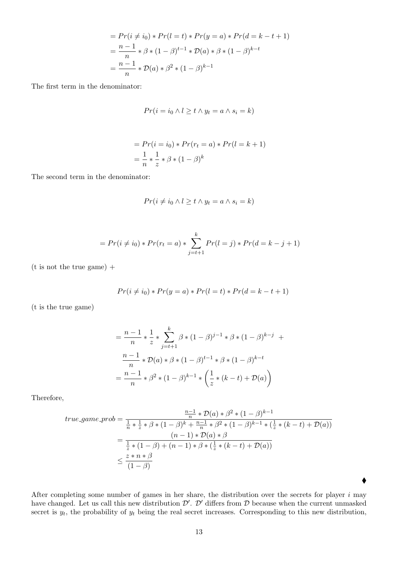$$
= Pr(i \neq i_0) * Pr(l = t) * Pr(y = a) * Pr(d = k - t + 1)
$$
  
=  $\frac{n-1}{n} * \beta * (1 - \beta)^{t-1} * D(a) * \beta * (1 - \beta)^{k-t}$   
=  $\frac{n-1}{n} * D(a) * \beta^2 * (1 - \beta)^{k-1}$ 

The first term in the denominator:

$$
Pr(i = i_0 \land l \geq t \land y_t = a \land s_i = k)
$$

$$
= Pr(i = i0) * Pr(rt = a) * Pr(l = k + 1)
$$
  
=  $\frac{1}{n} * \frac{1}{z} * \beta * (1 - \beta)^{k}$ 

The second term in the denominator:

$$
Pr(i \neq i_0 \land l \geq t \land y_t = a \land s_i = k)
$$

$$
= Pr(i \neq i_0) * Pr(r_t = a) * \sum_{j=t+1}^{k} Pr(l = j) * Pr(d = k - j + 1)
$$

 $(t$  is not the true game) +

$$
Pr(i \neq i_0) * Pr(y = a) * Pr(l = t) * Pr(d = k - t + 1)
$$

(t is the true game)

$$
= \frac{n-1}{n} * \frac{1}{z} * \sum_{j=t+1}^{k} \beta * (1-\beta)^{j-1} * \beta * (1-\beta)^{k-j} +
$$
  

$$
\frac{n-1}{n} * \mathcal{D}(a) * \beta * (1-\beta)^{t-1} * \beta * (1-\beta)^{k-t}
$$
  

$$
= \frac{n-1}{n} * \beta^{2} * (1-\beta)^{k-1} * \left(\frac{1}{z} * (k-t) + \mathcal{D}(a)\right)
$$

Therefore,

$$
\begin{split} true\text{-}game\text{-}prob &= \frac{\frac{n-1}{n} * \mathcal{D}(a) * \beta^2 * (1-\beta)^{k-1}}{\frac{1}{n} * \frac{1}{z} * \beta * (1-\beta)^k + \frac{n-1}{n} * \beta^2 * (1-\beta)^{k-1} * (\frac{1}{z} * (k-t) + \mathcal{D}(a))} \\ &= \frac{(n-1) * \mathcal{D}(a) * \beta}{\frac{1}{z} * (1-\beta) + (n-1) * \beta * (\frac{1}{z} * (k-t) + \mathcal{D}(a))} \\ &\leq \frac{z * n * \beta}{(1-\beta)} \end{split}
$$

After completing some number of games in her share, the distribution over the secrets for player  $i$  may have changed. Let us call this new distribution  $\mathcal{D}'$ .  $\mathcal{D}'$  differs from  $\mathcal D$  because when the current unmasked secret is  $y_t$ , the probability of  $y_t$  being the real secret increases. Corresponding to this new distribution,

 $\blacklozenge$